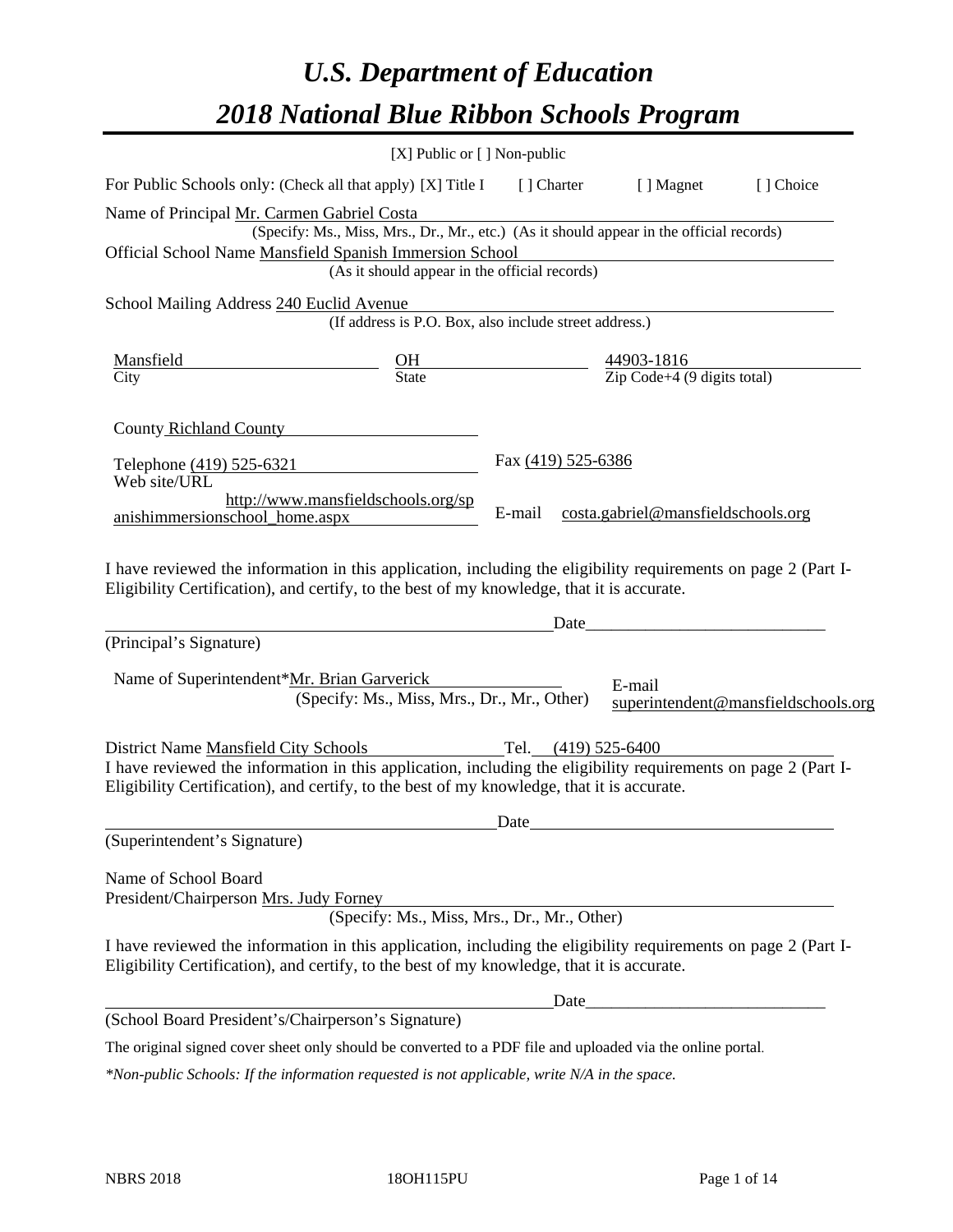# *U.S. Department of Education 2018 National Blue Ribbon Schools Program*

|                                                                                                                                                                                                                                                                                                                                                                                                                                                                                                         | $[X]$ Public or $[ \ ]$ Non-public                                                       |                       |                                                                                                                       |                                     |
|---------------------------------------------------------------------------------------------------------------------------------------------------------------------------------------------------------------------------------------------------------------------------------------------------------------------------------------------------------------------------------------------------------------------------------------------------------------------------------------------------------|------------------------------------------------------------------------------------------|-----------------------|-----------------------------------------------------------------------------------------------------------------------|-------------------------------------|
| For Public Schools only: (Check all that apply) [X] Title I                                                                                                                                                                                                                                                                                                                                                                                                                                             |                                                                                          |                       | [] Charter [] Magnet                                                                                                  | [] Choice                           |
| Name of Principal Mr. Carmen Gabriel Costa                                                                                                                                                                                                                                                                                                                                                                                                                                                              |                                                                                          |                       |                                                                                                                       |                                     |
|                                                                                                                                                                                                                                                                                                                                                                                                                                                                                                         | (Specify: Ms., Miss, Mrs., Dr., Mr., etc.) (As it should appear in the official records) |                       |                                                                                                                       |                                     |
| Official School Name Mansfield Spanish Immersion School                                                                                                                                                                                                                                                                                                                                                                                                                                                 |                                                                                          |                       | <u> 1980 - Johann Barn, mars ann an t-Amhain Aonaichte ann an t-Amhain Aonaichte ann an t-Amhain Aonaichte ann an</u> |                                     |
|                                                                                                                                                                                                                                                                                                                                                                                                                                                                                                         | (As it should appear in the official records)                                            |                       |                                                                                                                       |                                     |
| School Mailing Address 240 Euclid Avenue                                                                                                                                                                                                                                                                                                                                                                                                                                                                |                                                                                          |                       |                                                                                                                       |                                     |
|                                                                                                                                                                                                                                                                                                                                                                                                                                                                                                         | (If address is P.O. Box, also include street address.)                                   |                       |                                                                                                                       |                                     |
| $\underline{\text{Mansfield}}$ $\underline{\text{City}}$ $\underline{\text{City}}$ $\underline{\text{City}}$ $\underline{\text{City}}$ $\underline{\text{City}}$ $\underline{\text{City}}$ $\underline{\text{City}}$ $\underline{\text{Cycdel}}$ $\underline{\text{Cycdel}}$ $\underline{\text{Cycdel}}$ $\underline{\text{Cycdel}}$ $\underline{\text{Cycdel}}$ $\underline{\text{Cycdel}}$ $\underline{\text{Cycdel}}$ $\underline{\text{Cycdel}}$ $\underline{\text{Cycdel}}$ $\underline{\text{Cyc$ |                                                                                          |                       |                                                                                                                       |                                     |
|                                                                                                                                                                                                                                                                                                                                                                                                                                                                                                         |                                                                                          |                       |                                                                                                                       |                                     |
| County Richland County                                                                                                                                                                                                                                                                                                                                                                                                                                                                                  |                                                                                          |                       |                                                                                                                       |                                     |
| Telephone (419) 525-6321                                                                                                                                                                                                                                                                                                                                                                                                                                                                                |                                                                                          | Fax (419) 525-6386    |                                                                                                                       |                                     |
| Web site/URL                                                                                                                                                                                                                                                                                                                                                                                                                                                                                            |                                                                                          |                       |                                                                                                                       |                                     |
|                                                                                                                                                                                                                                                                                                                                                                                                                                                                                                         | http://www.mansfieldschools.org/sp                                                       |                       |                                                                                                                       |                                     |
| anishimmersionschool_home.aspx                                                                                                                                                                                                                                                                                                                                                                                                                                                                          |                                                                                          | E-mail                | costa.gabriel@mansfieldschools.org                                                                                    |                                     |
| (Principal's Signature)                                                                                                                                                                                                                                                                                                                                                                                                                                                                                 |                                                                                          | Date_                 |                                                                                                                       |                                     |
|                                                                                                                                                                                                                                                                                                                                                                                                                                                                                                         |                                                                                          |                       |                                                                                                                       |                                     |
| Name of Superintendent*Mr. Brian Garverick                                                                                                                                                                                                                                                                                                                                                                                                                                                              |                                                                                          |                       | E-mail                                                                                                                |                                     |
|                                                                                                                                                                                                                                                                                                                                                                                                                                                                                                         | (Specify: Ms., Miss, Mrs., Dr., Mr., Other)                                              |                       |                                                                                                                       | superintendent@mansfieldschools.org |
| District Name Mansfield City Schools                                                                                                                                                                                                                                                                                                                                                                                                                                                                    |                                                                                          | Tel. $(419)$ 525-6400 |                                                                                                                       |                                     |
| I have reviewed the information in this application, including the eligibility requirements on page 2 (Part I-                                                                                                                                                                                                                                                                                                                                                                                          |                                                                                          |                       |                                                                                                                       |                                     |
| Eligibility Certification), and certify, to the best of my knowledge, that it is accurate.                                                                                                                                                                                                                                                                                                                                                                                                              |                                                                                          |                       |                                                                                                                       |                                     |
|                                                                                                                                                                                                                                                                                                                                                                                                                                                                                                         |                                                                                          | Date                  |                                                                                                                       |                                     |
| (Superintendent's Signature)                                                                                                                                                                                                                                                                                                                                                                                                                                                                            |                                                                                          |                       |                                                                                                                       |                                     |
| Name of School Board                                                                                                                                                                                                                                                                                                                                                                                                                                                                                    |                                                                                          |                       |                                                                                                                       |                                     |
| President/Chairperson Mrs. Judy Forney                                                                                                                                                                                                                                                                                                                                                                                                                                                                  |                                                                                          |                       |                                                                                                                       |                                     |
|                                                                                                                                                                                                                                                                                                                                                                                                                                                                                                         | (Specify: Ms., Miss, Mrs., Dr., Mr., Other)                                              |                       |                                                                                                                       |                                     |
| I have reviewed the information in this application, including the eligibility requirements on page 2 (Part I-<br>Eligibility Certification), and certify, to the best of my knowledge, that it is accurate.                                                                                                                                                                                                                                                                                            |                                                                                          |                       |                                                                                                                       |                                     |
|                                                                                                                                                                                                                                                                                                                                                                                                                                                                                                         |                                                                                          | Date                  |                                                                                                                       |                                     |
| (School Board President's/Chairperson's Signature)                                                                                                                                                                                                                                                                                                                                                                                                                                                      |                                                                                          |                       |                                                                                                                       |                                     |
| The original signed cover sheet only should be converted to a PDF file and uploaded via the online portal.                                                                                                                                                                                                                                                                                                                                                                                              |                                                                                          |                       |                                                                                                                       |                                     |

*\*Non-public Schools: If the information requested is not applicable, write N/A in the space.*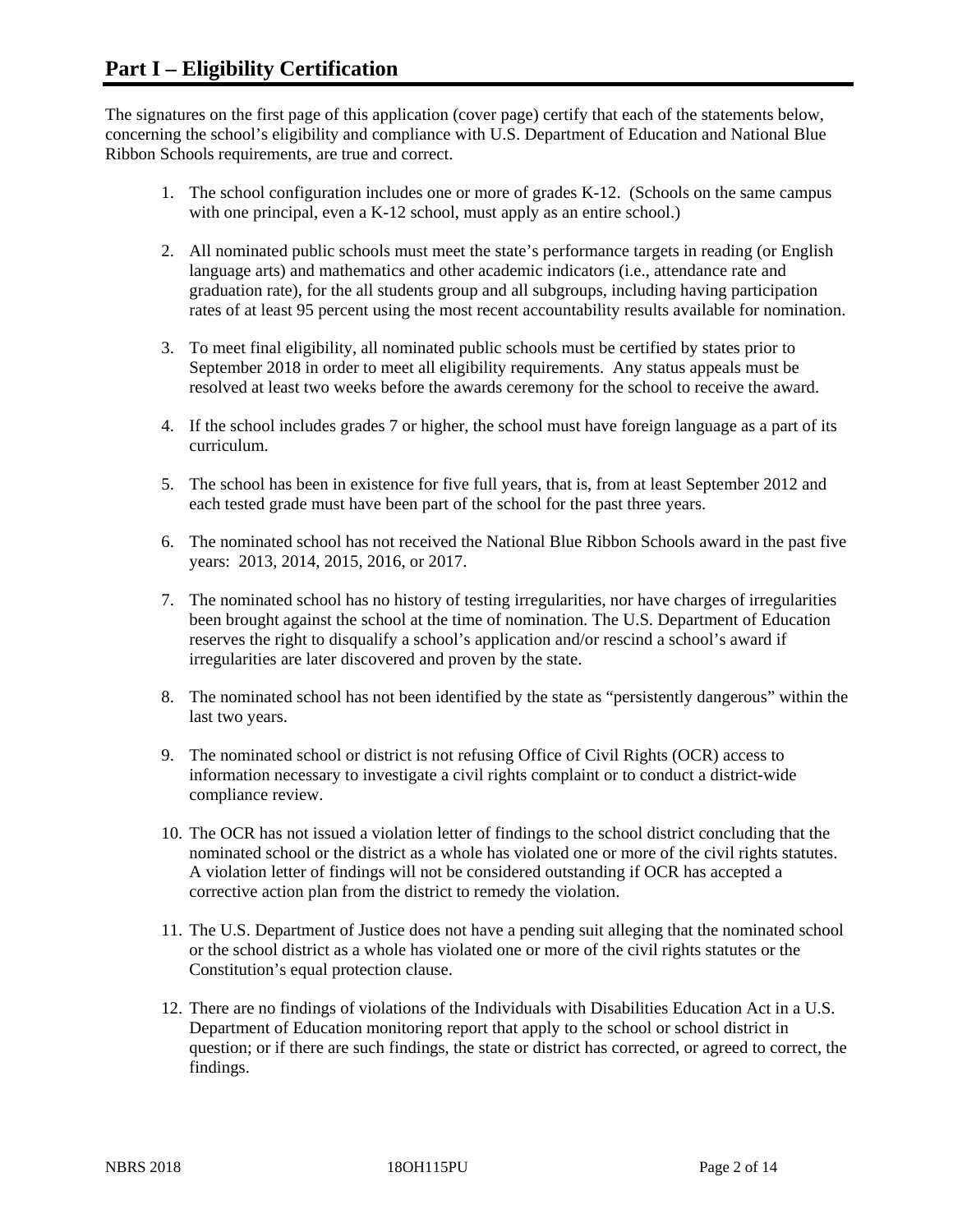The signatures on the first page of this application (cover page) certify that each of the statements below, concerning the school's eligibility and compliance with U.S. Department of Education and National Blue Ribbon Schools requirements, are true and correct.

- 1. The school configuration includes one or more of grades K-12. (Schools on the same campus with one principal, even a K-12 school, must apply as an entire school.)
- 2. All nominated public schools must meet the state's performance targets in reading (or English language arts) and mathematics and other academic indicators (i.e., attendance rate and graduation rate), for the all students group and all subgroups, including having participation rates of at least 95 percent using the most recent accountability results available for nomination.
- 3. To meet final eligibility, all nominated public schools must be certified by states prior to September 2018 in order to meet all eligibility requirements. Any status appeals must be resolved at least two weeks before the awards ceremony for the school to receive the award.
- 4. If the school includes grades 7 or higher, the school must have foreign language as a part of its curriculum.
- 5. The school has been in existence for five full years, that is, from at least September 2012 and each tested grade must have been part of the school for the past three years.
- 6. The nominated school has not received the National Blue Ribbon Schools award in the past five years: 2013, 2014, 2015, 2016, or 2017.
- 7. The nominated school has no history of testing irregularities, nor have charges of irregularities been brought against the school at the time of nomination. The U.S. Department of Education reserves the right to disqualify a school's application and/or rescind a school's award if irregularities are later discovered and proven by the state.
- 8. The nominated school has not been identified by the state as "persistently dangerous" within the last two years.
- 9. The nominated school or district is not refusing Office of Civil Rights (OCR) access to information necessary to investigate a civil rights complaint or to conduct a district-wide compliance review.
- 10. The OCR has not issued a violation letter of findings to the school district concluding that the nominated school or the district as a whole has violated one or more of the civil rights statutes. A violation letter of findings will not be considered outstanding if OCR has accepted a corrective action plan from the district to remedy the violation.
- 11. The U.S. Department of Justice does not have a pending suit alleging that the nominated school or the school district as a whole has violated one or more of the civil rights statutes or the Constitution's equal protection clause.
- 12. There are no findings of violations of the Individuals with Disabilities Education Act in a U.S. Department of Education monitoring report that apply to the school or school district in question; or if there are such findings, the state or district has corrected, or agreed to correct, the findings.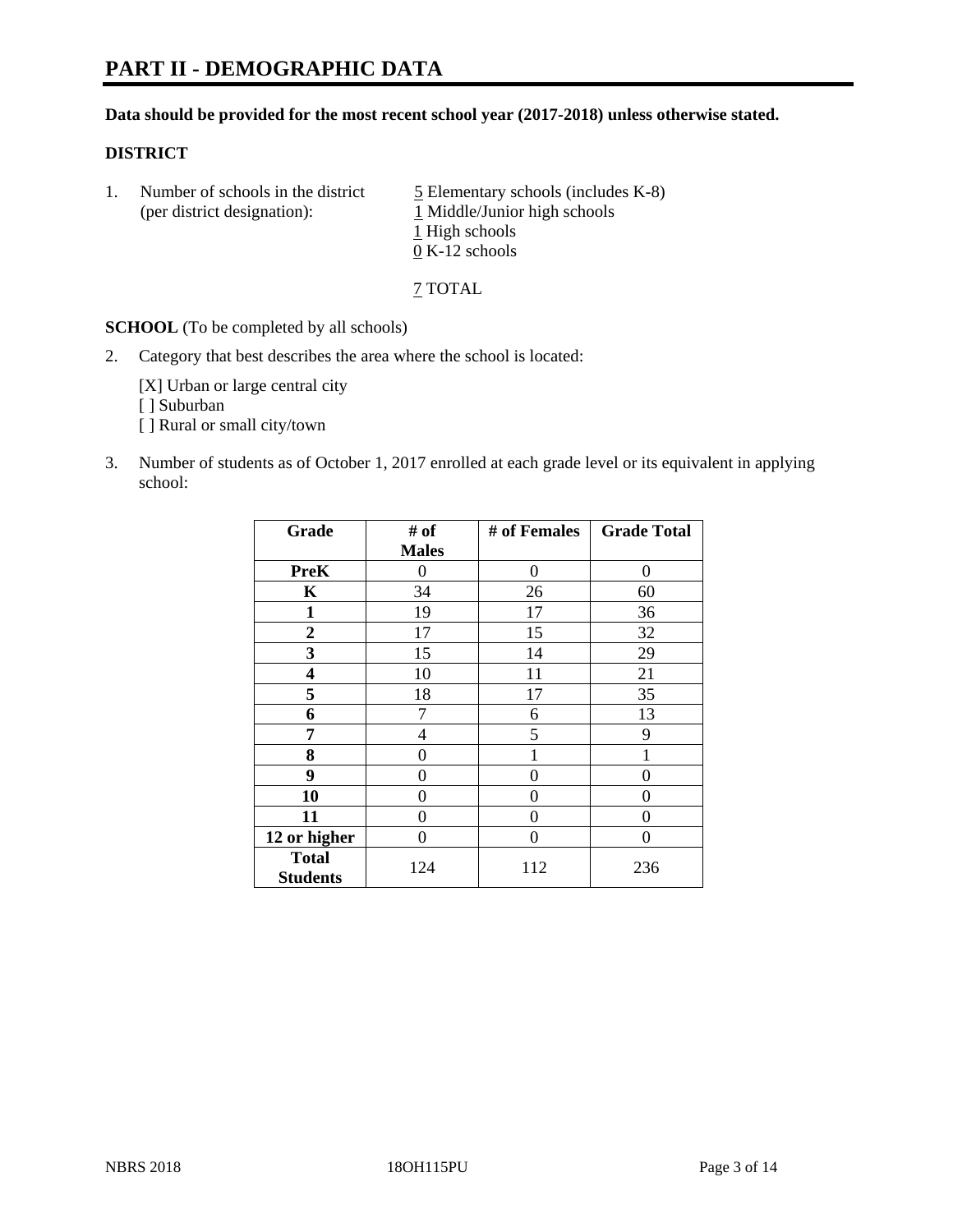# **PART II - DEMOGRAPHIC DATA**

#### **Data should be provided for the most recent school year (2017-2018) unless otherwise stated.**

#### **DISTRICT**

1. Number of schools in the district  $\frac{5}{2}$  Elementary schools (includes K-8) (per district designation): 1 Middle/Junior high schools 1 High schools 0 K-12 schools

7 TOTAL

**SCHOOL** (To be completed by all schools)

2. Category that best describes the area where the school is located:

[X] Urban or large central city [ ] Suburban [] Rural or small city/town

3. Number of students as of October 1, 2017 enrolled at each grade level or its equivalent in applying school:

| Grade                           | # of         | # of Females | <b>Grade Total</b> |
|---------------------------------|--------------|--------------|--------------------|
|                                 | <b>Males</b> |              |                    |
| <b>PreK</b>                     | 0            | $\theta$     | 0                  |
| $\mathbf K$                     | 34           | 26           | 60                 |
| $\mathbf{1}$                    | 19           | 17           | 36                 |
| $\overline{2}$                  | 17           | 15           | 32                 |
| 3                               | 15           | 14           | 29                 |
| $\overline{\mathbf{4}}$         | 10           | 11           | 21                 |
| 5                               | 18           | 17           | 35                 |
| 6                               | 7            | 6            | 13                 |
| 7                               | 4            | 5            | 9                  |
| 8                               | 0            |              |                    |
| 9                               | 0            | 0            | 0                  |
| 10                              | 0            | 0            | 0                  |
| 11                              | 0            | 0            | 0                  |
| 12 or higher                    | 0            | 0            | 0                  |
| <b>Total</b><br><b>Students</b> | 124          | 112          | 236                |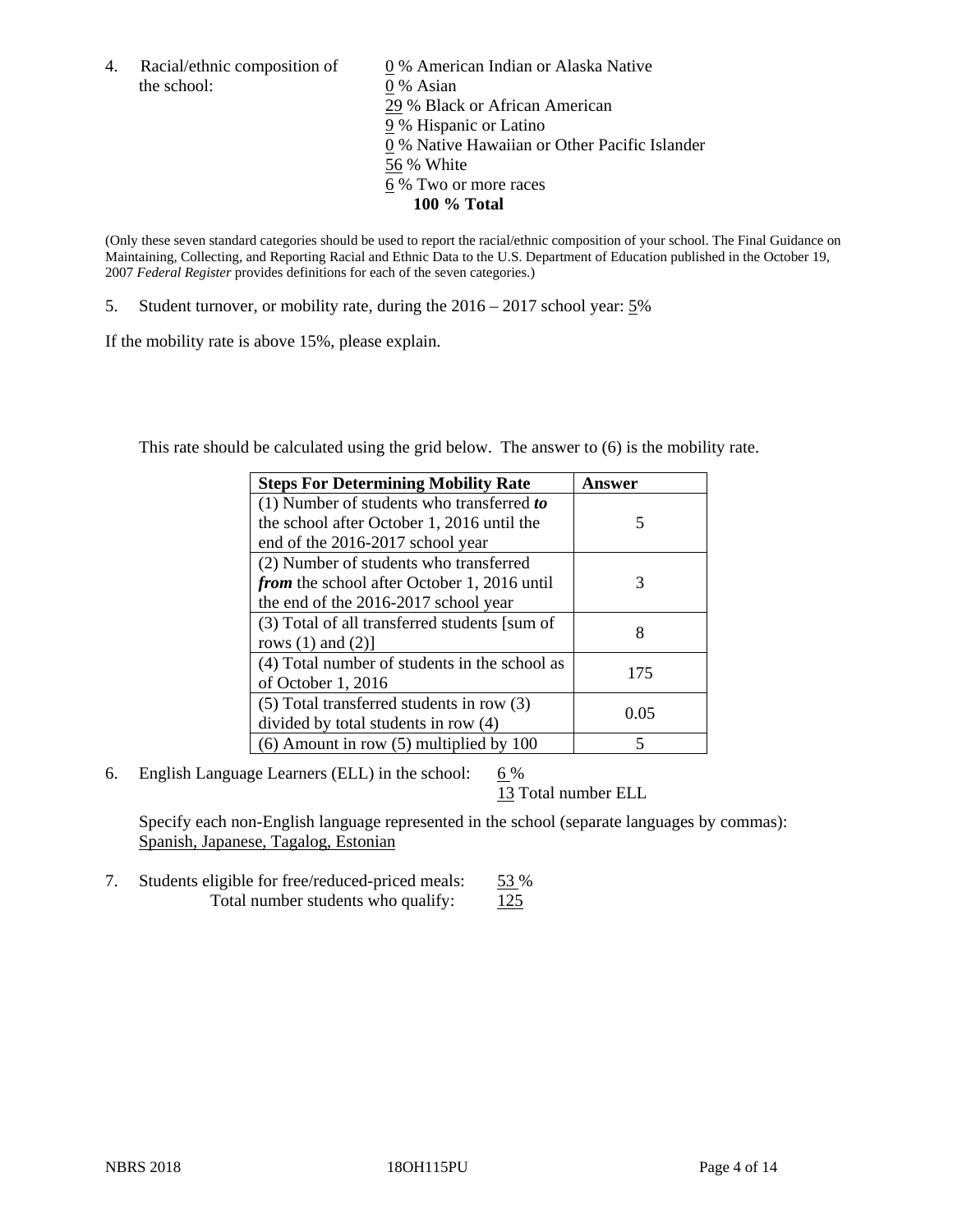the school: 0 % Asian

4. Racial/ethnic composition of  $\qquad 0\%$  American Indian or Alaska Native 29 % Black or African American 9 % Hispanic or Latino 0 % Native Hawaiian or Other Pacific Islander 56 % White 6 % Two or more races **100 % Total**

(Only these seven standard categories should be used to report the racial/ethnic composition of your school. The Final Guidance on Maintaining, Collecting, and Reporting Racial and Ethnic Data to the U.S. Department of Education published in the October 19, 2007 *Federal Register* provides definitions for each of the seven categories.)

5. Student turnover, or mobility rate, during the 2016 – 2017 school year: 5%

If the mobility rate is above 15%, please explain.

This rate should be calculated using the grid below. The answer to (6) is the mobility rate.

| <b>Steps For Determining Mobility Rate</b>         | Answer |
|----------------------------------------------------|--------|
| $(1)$ Number of students who transferred to        |        |
| the school after October 1, 2016 until the         | 5      |
| end of the 2016-2017 school year                   |        |
| (2) Number of students who transferred             |        |
| <i>from</i> the school after October 1, 2016 until | 3      |
| the end of the 2016-2017 school year               |        |
| (3) Total of all transferred students [sum of      | 8      |
| rows $(1)$ and $(2)$ ]                             |        |
| (4) Total number of students in the school as      | 175    |
| of October 1, 2016                                 |        |
| (5) Total transferred students in row (3)          | 0.05   |
| divided by total students in row (4)               |        |
| $(6)$ Amount in row $(5)$ multiplied by 100        | 5      |

6. English Language Learners (ELL) in the school:  $6\%$ 

13 Total number ELL

Specify each non-English language represented in the school (separate languages by commas): Spanish, Japanese, Tagalog, Estonian

7. Students eligible for free/reduced-priced meals: 53 % Total number students who qualify:  $125$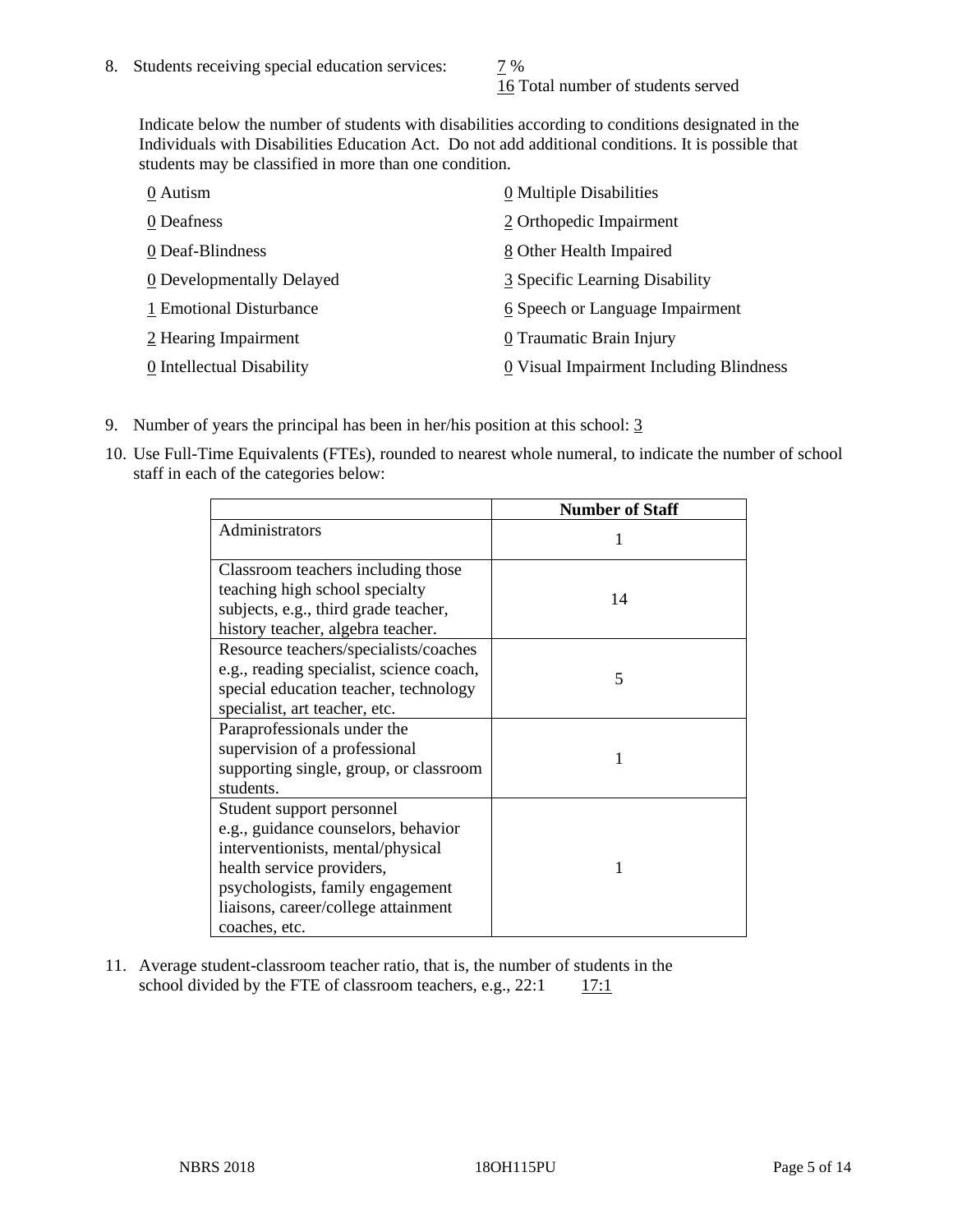16 Total number of students served

Indicate below the number of students with disabilities according to conditions designated in the Individuals with Disabilities Education Act. Do not add additional conditions. It is possible that students may be classified in more than one condition.

| 0 Autism                  | 0 Multiple Disabilities                 |
|---------------------------|-----------------------------------------|
| 0 Deafness                | 2 Orthopedic Impairment                 |
| 0 Deaf-Blindness          | 8 Other Health Impaired                 |
| 0 Developmentally Delayed | 3 Specific Learning Disability          |
| 1 Emotional Disturbance   | 6 Speech or Language Impairment         |
| 2 Hearing Impairment      | 0 Traumatic Brain Injury                |
| 0 Intellectual Disability | 0 Visual Impairment Including Blindness |

- 9. Number of years the principal has been in her/his position at this school: 3
- 10. Use Full-Time Equivalents (FTEs), rounded to nearest whole numeral, to indicate the number of school staff in each of the categories below:

|                                          | <b>Number of Staff</b> |
|------------------------------------------|------------------------|
| Administrators                           |                        |
| Classroom teachers including those       |                        |
| teaching high school specialty           | 14                     |
| subjects, e.g., third grade teacher,     |                        |
| history teacher, algebra teacher.        |                        |
| Resource teachers/specialists/coaches    |                        |
| e.g., reading specialist, science coach, | 5                      |
| special education teacher, technology    |                        |
| specialist, art teacher, etc.            |                        |
| Paraprofessionals under the              |                        |
| supervision of a professional            | 1                      |
| supporting single, group, or classroom   |                        |
| students.                                |                        |
| Student support personnel                |                        |
| e.g., guidance counselors, behavior      |                        |
| interventionists, mental/physical        |                        |
| health service providers,                |                        |
| psychologists, family engagement         |                        |
| liaisons, career/college attainment      |                        |
| coaches, etc.                            |                        |

11. Average student-classroom teacher ratio, that is, the number of students in the school divided by the FTE of classroom teachers, e.g.,  $22:1$  17:1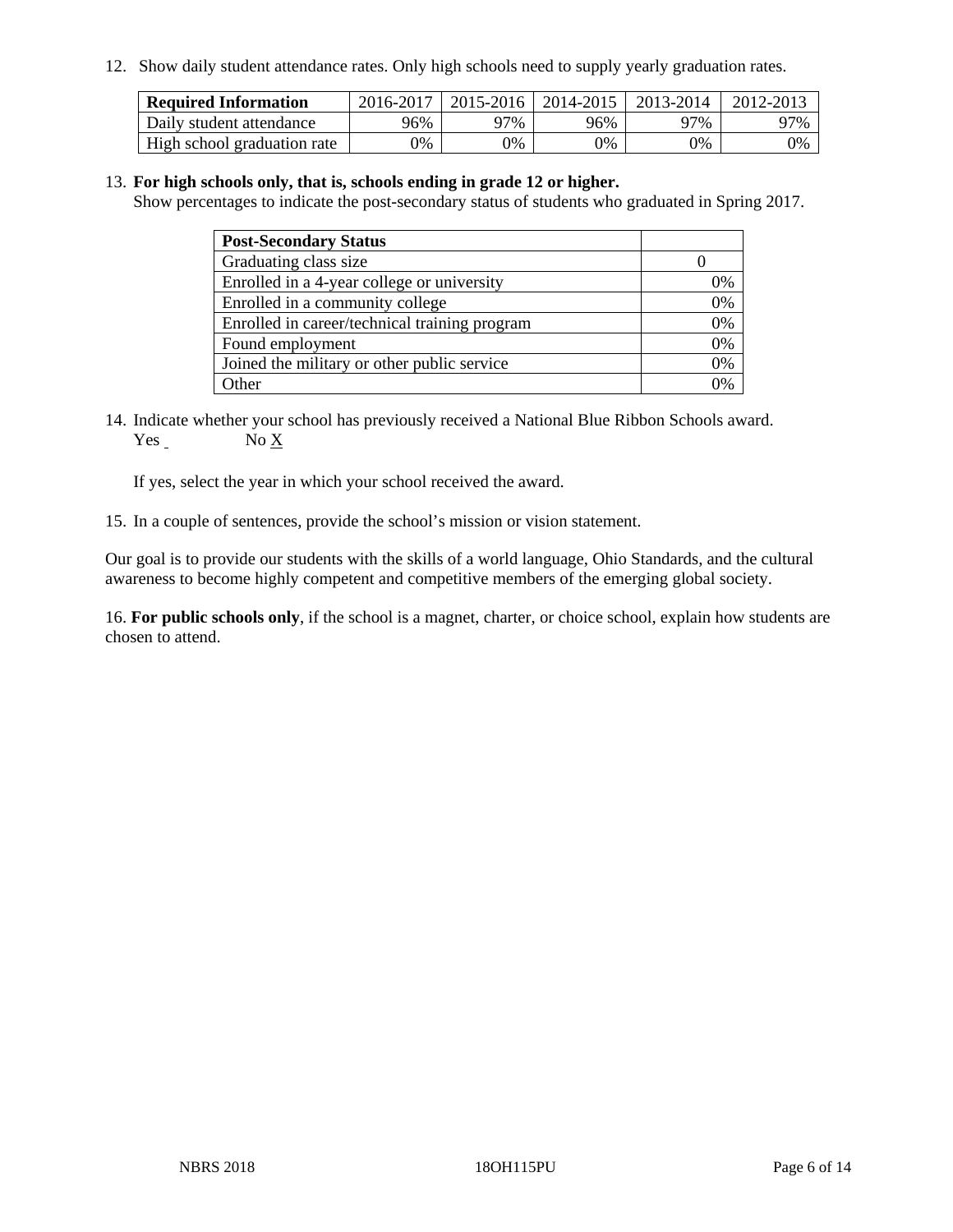12. Show daily student attendance rates. Only high schools need to supply yearly graduation rates.

| <b>Required Information</b> | 2016-2017 | 2015-2016 | 2014-2015 | 2013-2014 | 2012-2013 |
|-----------------------------|-----------|-----------|-----------|-----------|-----------|
| Daily student attendance    | 96%       | 97%       | 96%       | 97%       | 97%       |
| High school graduation rate | 0%        | 0%        | 0%        | 0%        | 0%        |

#### 13. **For high schools only, that is, schools ending in grade 12 or higher.**

Show percentages to indicate the post-secondary status of students who graduated in Spring 2017.

| <b>Post-Secondary Status</b>                  |    |
|-----------------------------------------------|----|
| Graduating class size                         |    |
| Enrolled in a 4-year college or university    | 7% |
| Enrolled in a community college               | 0% |
| Enrolled in career/technical training program | 0% |
| Found employment                              | 0% |
| Joined the military or other public service   | 0% |
| Other                                         |    |

14. Indicate whether your school has previously received a National Blue Ribbon Schools award. Yes No X

If yes, select the year in which your school received the award.

15. In a couple of sentences, provide the school's mission or vision statement.

Our goal is to provide our students with the skills of a world language, Ohio Standards, and the cultural awareness to become highly competent and competitive members of the emerging global society.

16. **For public schools only**, if the school is a magnet, charter, or choice school, explain how students are chosen to attend.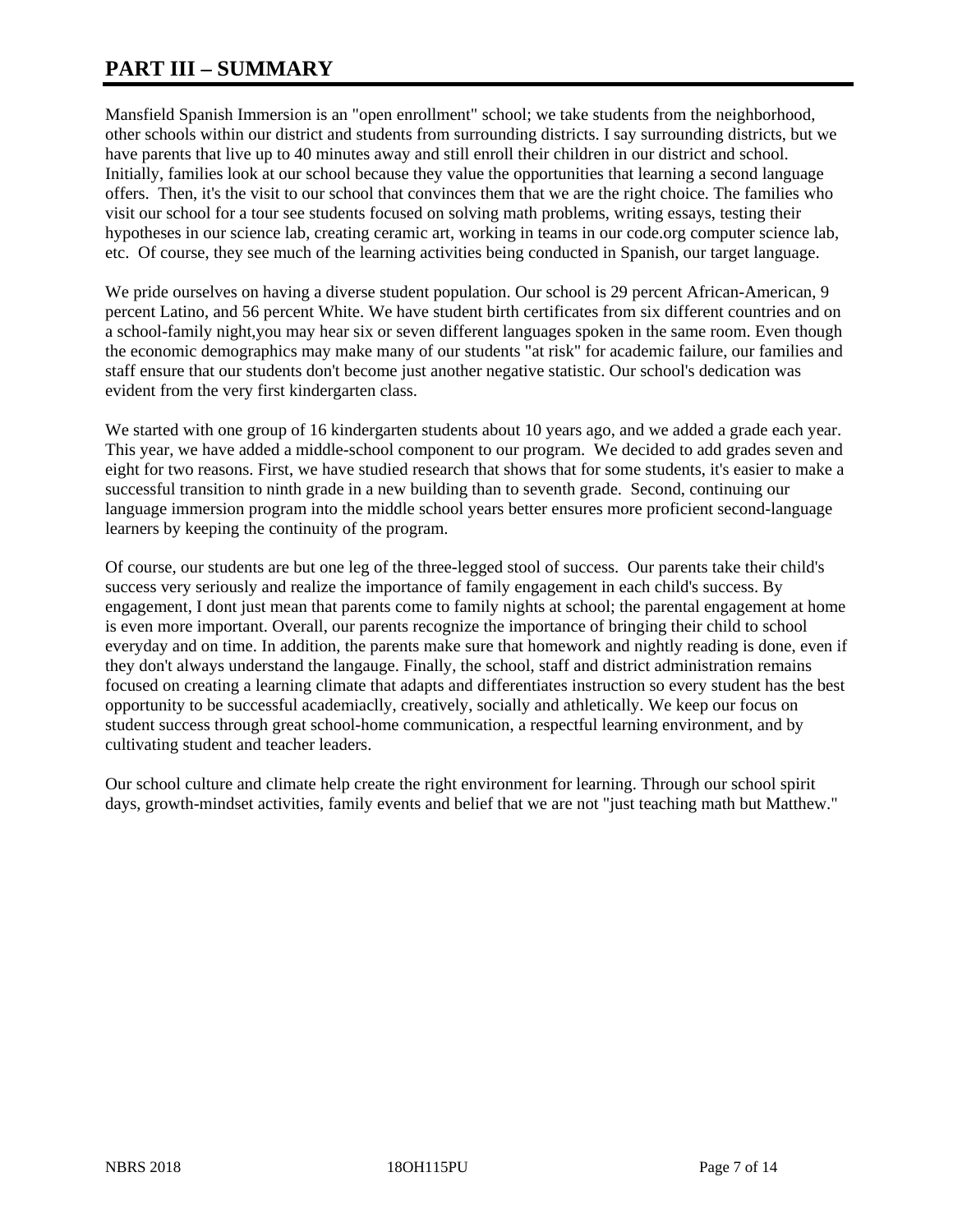# **PART III – SUMMARY**

Mansfield Spanish Immersion is an "open enrollment" school; we take students from the neighborhood, other schools within our district and students from surrounding districts. I say surrounding districts, but we have parents that live up to 40 minutes away and still enroll their children in our district and school. Initially, families look at our school because they value the opportunities that learning a second language offers. Then, it's the visit to our school that convinces them that we are the right choice. The families who visit our school for a tour see students focused on solving math problems, writing essays, testing their hypotheses in our science lab, creating ceramic art, working in teams in our code.org computer science lab, etc. Of course, they see much of the learning activities being conducted in Spanish, our target language.

We pride ourselves on having a diverse student population. Our school is 29 percent African-American, 9 percent Latino, and 56 percent White. We have student birth certificates from six different countries and on a school-family night,you may hear six or seven different languages spoken in the same room. Even though the economic demographics may make many of our students "at risk" for academic failure, our families and staff ensure that our students don't become just another negative statistic. Our school's dedication was evident from the very first kindergarten class.

We started with one group of 16 kindergarten students about 10 years ago, and we added a grade each year. This year, we have added a middle-school component to our program. We decided to add grades seven and eight for two reasons. First, we have studied research that shows that for some students, it's easier to make a successful transition to ninth grade in a new building than to seventh grade. Second, continuing our language immersion program into the middle school years better ensures more proficient second-language learners by keeping the continuity of the program.

Of course, our students are but one leg of the three-legged stool of success. Our parents take their child's success very seriously and realize the importance of family engagement in each child's success. By engagement, I dont just mean that parents come to family nights at school; the parental engagement at home is even more important. Overall, our parents recognize the importance of bringing their child to school everyday and on time. In addition, the parents make sure that homework and nightly reading is done, even if they don't always understand the langauge. Finally, the school, staff and district administration remains focused on creating a learning climate that adapts and differentiates instruction so every student has the best opportunity to be successful academiaclly, creatively, socially and athletically. We keep our focus on student success through great school-home communication, a respectful learning environment, and by cultivating student and teacher leaders.

Our school culture and climate help create the right environment for learning. Through our school spirit days, growth-mindset activities, family events and belief that we are not "just teaching math but Matthew."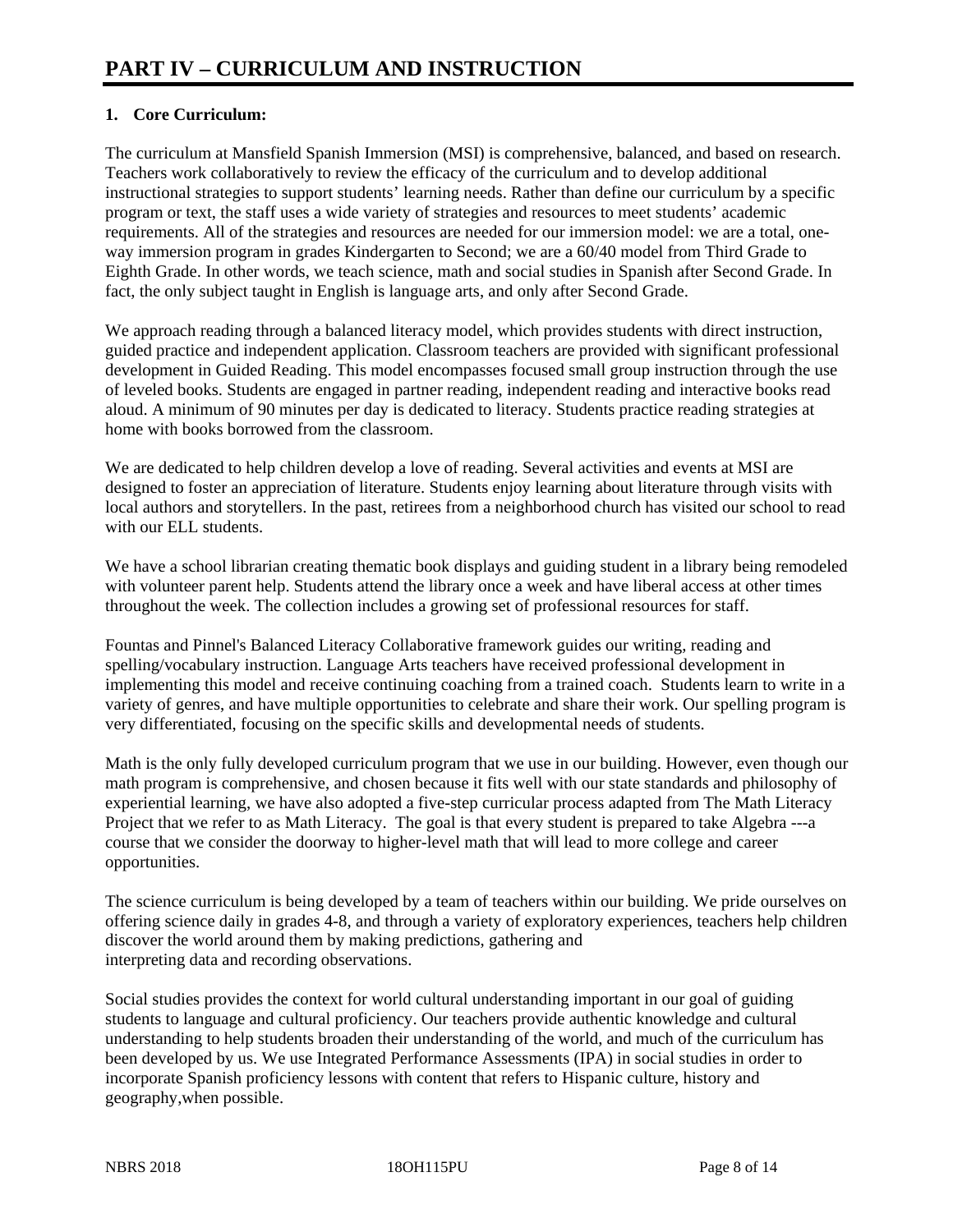# **1. Core Curriculum:**

The curriculum at Mansfield Spanish Immersion (MSI) is comprehensive, balanced, and based on research. Teachers work collaboratively to review the efficacy of the curriculum and to develop additional instructional strategies to support students' learning needs. Rather than define our curriculum by a specific program or text, the staff uses a wide variety of strategies and resources to meet students' academic requirements. All of the strategies and resources are needed for our immersion model: we are a total, oneway immersion program in grades Kindergarten to Second; we are a 60/40 model from Third Grade to Eighth Grade. In other words, we teach science, math and social studies in Spanish after Second Grade. In fact, the only subject taught in English is language arts, and only after Second Grade.

We approach reading through a balanced literacy model, which provides students with direct instruction, guided practice and independent application. Classroom teachers are provided with significant professional development in Guided Reading. This model encompasses focused small group instruction through the use of leveled books. Students are engaged in partner reading, independent reading and interactive books read aloud. A minimum of 90 minutes per day is dedicated to literacy. Students practice reading strategies at home with books borrowed from the classroom.

We are dedicated to help children develop a love of reading. Several activities and events at MSI are designed to foster an appreciation of literature. Students enjoy learning about literature through visits with local authors and storytellers. In the past, retirees from a neighborhood church has visited our school to read with our ELL students.

We have a school librarian creating thematic book displays and guiding student in a library being remodeled with volunteer parent help. Students attend the library once a week and have liberal access at other times throughout the week. The collection includes a growing set of professional resources for staff.

Fountas and Pinnel's Balanced Literacy Collaborative framework guides our writing, reading and spelling/vocabulary instruction. Language Arts teachers have received professional development in implementing this model and receive continuing coaching from a trained coach. Students learn to write in a variety of genres, and have multiple opportunities to celebrate and share their work. Our spelling program is very differentiated, focusing on the specific skills and developmental needs of students.

Math is the only fully developed curriculum program that we use in our building. However, even though our math program is comprehensive, and chosen because it fits well with our state standards and philosophy of experiential learning, we have also adopted a five-step curricular process adapted from The Math Literacy Project that we refer to as Math Literacy. The goal is that every student is prepared to take Algebra ---a course that we consider the doorway to higher-level math that will lead to more college and career opportunities.

The science curriculum is being developed by a team of teachers within our building. We pride ourselves on offering science daily in grades 4-8, and through a variety of exploratory experiences, teachers help children discover the world around them by making predictions, gathering and interpreting data and recording observations.

Social studies provides the context for world cultural understanding important in our goal of guiding students to language and cultural proficiency. Our teachers provide authentic knowledge and cultural understanding to help students broaden their understanding of the world, and much of the curriculum has been developed by us. We use Integrated Performance Assessments (IPA) in social studies in order to incorporate Spanish proficiency lessons with content that refers to Hispanic culture, history and geography,when possible.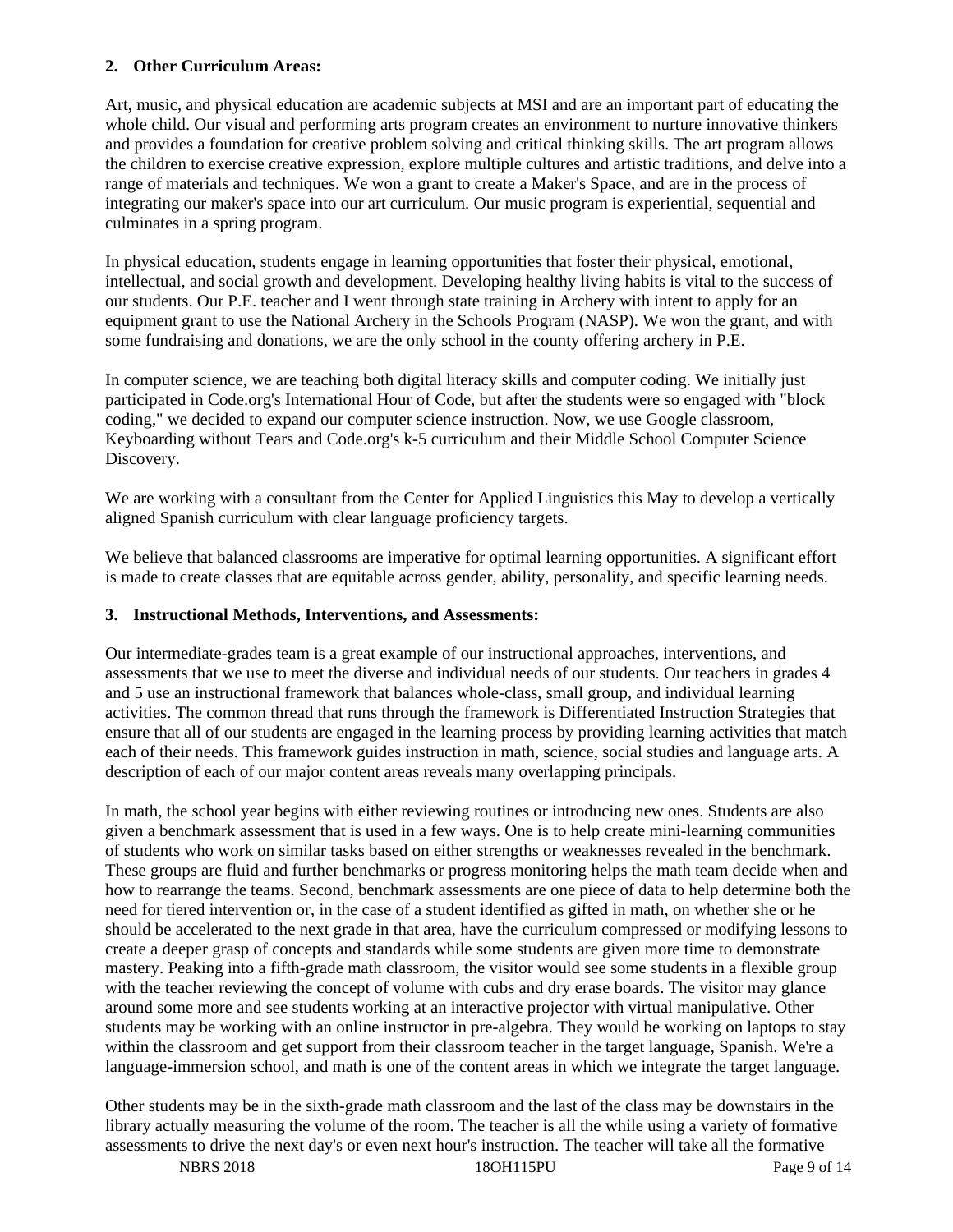## **2. Other Curriculum Areas:**

Art, music, and physical education are academic subjects at MSI and are an important part of educating the whole child. Our visual and performing arts program creates an environment to nurture innovative thinkers and provides a foundation for creative problem solving and critical thinking skills. The art program allows the children to exercise creative expression, explore multiple cultures and artistic traditions, and delve into a range of materials and techniques. We won a grant to create a Maker's Space, and are in the process of integrating our maker's space into our art curriculum. Our music program is experiential, sequential and culminates in a spring program.

In physical education, students engage in learning opportunities that foster their physical, emotional, intellectual, and social growth and development. Developing healthy living habits is vital to the success of our students. Our P.E. teacher and I went through state training in Archery with intent to apply for an equipment grant to use the National Archery in the Schools Program (NASP). We won the grant, and with some fundraising and donations, we are the only school in the county offering archery in P.E.

In computer science, we are teaching both digital literacy skills and computer coding. We initially just participated in Code.org's International Hour of Code, but after the students were so engaged with "block coding," we decided to expand our computer science instruction. Now, we use Google classroom, Keyboarding without Tears and Code.org's k-5 curriculum and their Middle School Computer Science Discovery.

We are working with a consultant from the Center for Applied Linguistics this May to develop a vertically aligned Spanish curriculum with clear language proficiency targets.

We believe that balanced classrooms are imperative for optimal learning opportunities. A significant effort is made to create classes that are equitable across gender, ability, personality, and specific learning needs.

### **3. Instructional Methods, Interventions, and Assessments:**

Our intermediate-grades team is a great example of our instructional approaches, interventions, and assessments that we use to meet the diverse and individual needs of our students. Our teachers in grades 4 and 5 use an instructional framework that balances whole-class, small group, and individual learning activities. The common thread that runs through the framework is Differentiated Instruction Strategies that ensure that all of our students are engaged in the learning process by providing learning activities that match each of their needs. This framework guides instruction in math, science, social studies and language arts. A description of each of our major content areas reveals many overlapping principals.

In math, the school year begins with either reviewing routines or introducing new ones. Students are also given a benchmark assessment that is used in a few ways. One is to help create mini-learning communities of students who work on similar tasks based on either strengths or weaknesses revealed in the benchmark. These groups are fluid and further benchmarks or progress monitoring helps the math team decide when and how to rearrange the teams. Second, benchmark assessments are one piece of data to help determine both the need for tiered intervention or, in the case of a student identified as gifted in math, on whether she or he should be accelerated to the next grade in that area, have the curriculum compressed or modifying lessons to create a deeper grasp of concepts and standards while some students are given more time to demonstrate mastery. Peaking into a fifth-grade math classroom, the visitor would see some students in a flexible group with the teacher reviewing the concept of volume with cubs and dry erase boards. The visitor may glance around some more and see students working at an interactive projector with virtual manipulative. Other students may be working with an online instructor in pre-algebra. They would be working on laptops to stay within the classroom and get support from their classroom teacher in the target language, Spanish. We're a language-immersion school, and math is one of the content areas in which we integrate the target language.

Other students may be in the sixth-grade math classroom and the last of the class may be downstairs in the library actually measuring the volume of the room. The teacher is all the while using a variety of formative assessments to drive the next day's or even next hour's instruction. The teacher will take all the formative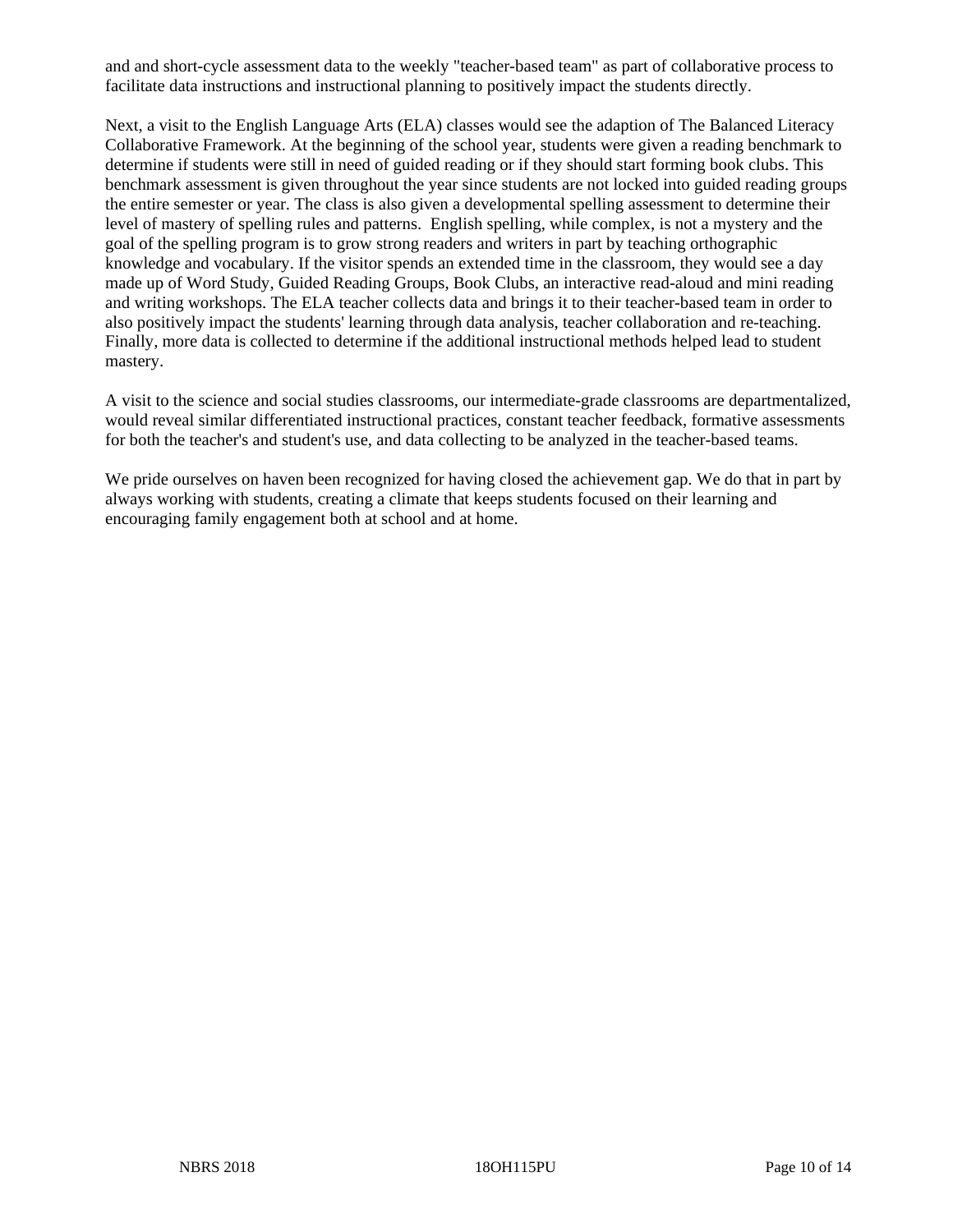and and short-cycle assessment data to the weekly "teacher-based team" as part of collaborative process to facilitate data instructions and instructional planning to positively impact the students directly.

Next, a visit to the English Language Arts (ELA) classes would see the adaption of The Balanced Literacy Collaborative Framework. At the beginning of the school year, students were given a reading benchmark to determine if students were still in need of guided reading or if they should start forming book clubs. This benchmark assessment is given throughout the year since students are not locked into guided reading groups the entire semester or year. The class is also given a developmental spelling assessment to determine their level of mastery of spelling rules and patterns. English spelling, while complex, is not a mystery and the goal of the spelling program is to grow strong readers and writers in part by teaching orthographic knowledge and vocabulary. If the visitor spends an extended time in the classroom, they would see a day made up of Word Study, Guided Reading Groups, Book Clubs, an interactive read-aloud and mini reading and writing workshops. The ELA teacher collects data and brings it to their teacher-based team in order to also positively impact the students' learning through data analysis, teacher collaboration and re-teaching. Finally, more data is collected to determine if the additional instructional methods helped lead to student mastery.

A visit to the science and social studies classrooms, our intermediate-grade classrooms are departmentalized, would reveal similar differentiated instructional practices, constant teacher feedback, formative assessments for both the teacher's and student's use, and data collecting to be analyzed in the teacher-based teams.

We pride ourselves on haven been recognized for having closed the achievement gap. We do that in part by always working with students, creating a climate that keeps students focused on their learning and encouraging family engagement both at school and at home.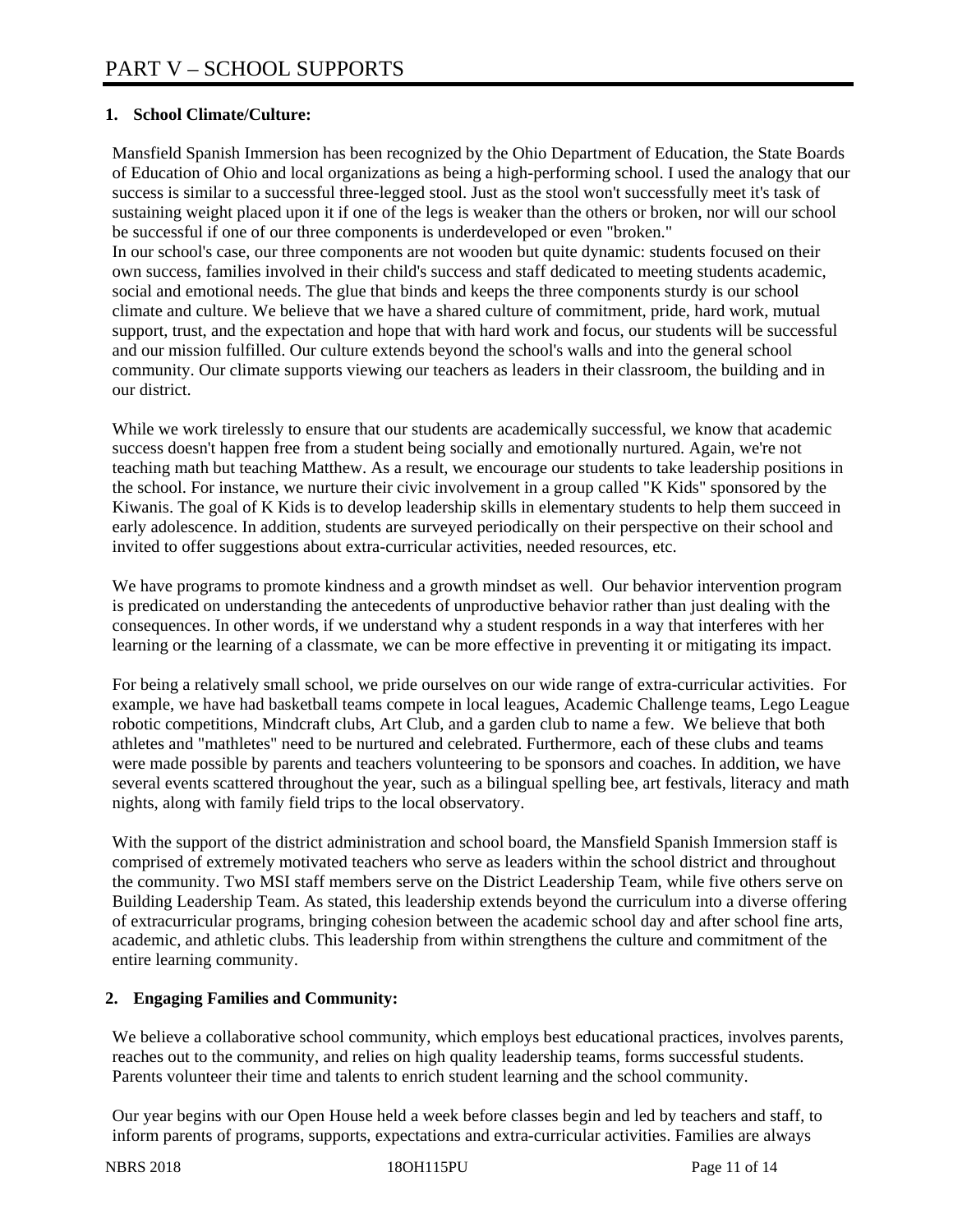## **1. School Climate/Culture:**

Mansfield Spanish Immersion has been recognized by the Ohio Department of Education, the State Boards of Education of Ohio and local organizations as being a high-performing school. I used the analogy that our success is similar to a successful three-legged stool. Just as the stool won't successfully meet it's task of sustaining weight placed upon it if one of the legs is weaker than the others or broken, nor will our school be successful if one of our three components is underdeveloped or even "broken." In our school's case, our three components are not wooden but quite dynamic: students focused on their own success, families involved in their child's success and staff dedicated to meeting students academic, social and emotional needs. The glue that binds and keeps the three components sturdy is our school climate and culture. We believe that we have a shared culture of commitment, pride, hard work, mutual support, trust, and the expectation and hope that with hard work and focus, our students will be successful and our mission fulfilled. Our culture extends beyond the school's walls and into the general school community. Our climate supports viewing our teachers as leaders in their classroom, the building and in our district.

While we work tirelessly to ensure that our students are academically successful, we know that academic success doesn't happen free from a student being socially and emotionally nurtured. Again, we're not teaching math but teaching Matthew. As a result, we encourage our students to take leadership positions in the school. For instance, we nurture their civic involvement in a group called "K Kids" sponsored by the Kiwanis. The goal of K Kids is to develop leadership skills in elementary students to help them succeed in early adolescence. In addition, students are surveyed periodically on their perspective on their school and invited to offer suggestions about extra-curricular activities, needed resources, etc.

We have programs to promote kindness and a growth mindset as well. Our behavior intervention program is predicated on understanding the antecedents of unproductive behavior rather than just dealing with the consequences. In other words, if we understand why a student responds in a way that interferes with her learning or the learning of a classmate, we can be more effective in preventing it or mitigating its impact.

For being a relatively small school, we pride ourselves on our wide range of extra-curricular activities. For example, we have had basketball teams compete in local leagues, Academic Challenge teams, Lego League robotic competitions, Mindcraft clubs, Art Club, and a garden club to name a few. We believe that both athletes and "mathletes" need to be nurtured and celebrated. Furthermore, each of these clubs and teams were made possible by parents and teachers volunteering to be sponsors and coaches. In addition, we have several events scattered throughout the year, such as a bilingual spelling bee, art festivals, literacy and math nights, along with family field trips to the local observatory.

With the support of the district administration and school board, the Mansfield Spanish Immersion staff is comprised of extremely motivated teachers who serve as leaders within the school district and throughout the community. Two MSI staff members serve on the District Leadership Team, while five others serve on Building Leadership Team. As stated, this leadership extends beyond the curriculum into a diverse offering of extracurricular programs, bringing cohesion between the academic school day and after school fine arts, academic, and athletic clubs. This leadership from within strengthens the culture and commitment of the entire learning community.

# **2. Engaging Families and Community:**

We believe a collaborative school community, which employs best educational practices, involves parents, reaches out to the community, and relies on high quality leadership teams, forms successful students. Parents volunteer their time and talents to enrich student learning and the school community.

Our year begins with our Open House held a week before classes begin and led by teachers and staff, to inform parents of programs, supports, expectations and extra-curricular activities. Families are always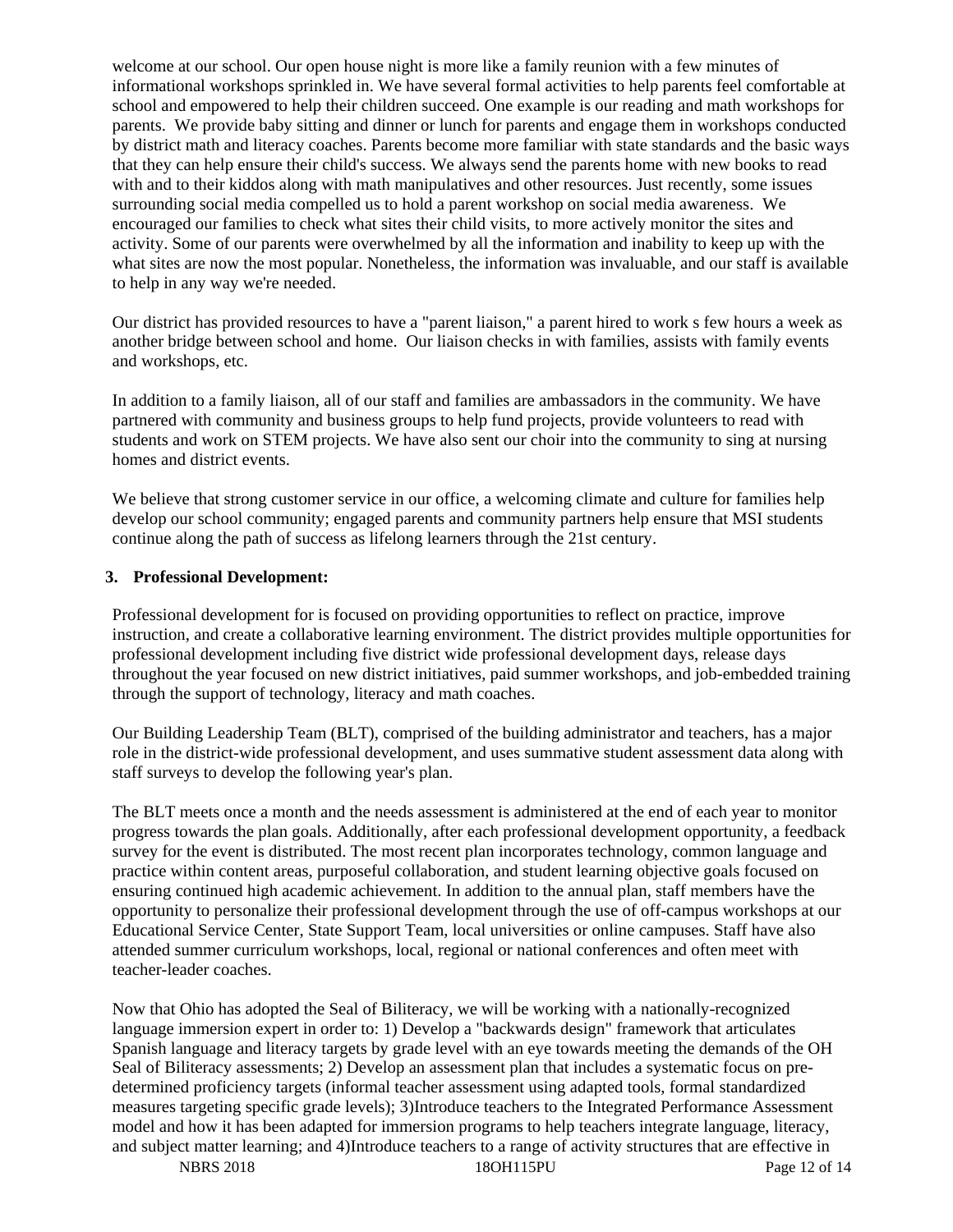welcome at our school. Our open house night is more like a family reunion with a few minutes of informational workshops sprinkled in. We have several formal activities to help parents feel comfortable at school and empowered to help their children succeed. One example is our reading and math workshops for parents. We provide baby sitting and dinner or lunch for parents and engage them in workshops conducted by district math and literacy coaches. Parents become more familiar with state standards and the basic ways that they can help ensure their child's success. We always send the parents home with new books to read with and to their kiddos along with math manipulatives and other resources. Just recently, some issues surrounding social media compelled us to hold a parent workshop on social media awareness. We encouraged our families to check what sites their child visits, to more actively monitor the sites and activity. Some of our parents were overwhelmed by all the information and inability to keep up with the what sites are now the most popular. Nonetheless, the information was invaluable, and our staff is available to help in any way we're needed.

Our district has provided resources to have a "parent liaison," a parent hired to work s few hours a week as another bridge between school and home. Our liaison checks in with families, assists with family events and workshops, etc.

In addition to a family liaison, all of our staff and families are ambassadors in the community. We have partnered with community and business groups to help fund projects, provide volunteers to read with students and work on STEM projects. We have also sent our choir into the community to sing at nursing homes and district events.

We believe that strong customer service in our office, a welcoming climate and culture for families help develop our school community; engaged parents and community partners help ensure that MSI students continue along the path of success as lifelong learners through the 21st century.

#### **3. Professional Development:**

Professional development for is focused on providing opportunities to reflect on practice, improve instruction, and create a collaborative learning environment. The district provides multiple opportunities for professional development including five district wide professional development days, release days throughout the year focused on new district initiatives, paid summer workshops, and job-embedded training through the support of technology, literacy and math coaches.

Our Building Leadership Team (BLT), comprised of the building administrator and teachers, has a major role in the district-wide professional development, and uses summative student assessment data along with staff surveys to develop the following year's plan.

The BLT meets once a month and the needs assessment is administered at the end of each year to monitor progress towards the plan goals. Additionally, after each professional development opportunity, a feedback survey for the event is distributed. The most recent plan incorporates technology, common language and practice within content areas, purposeful collaboration, and student learning objective goals focused on ensuring continued high academic achievement. In addition to the annual plan, staff members have the opportunity to personalize their professional development through the use of off-campus workshops at our Educational Service Center, State Support Team, local universities or online campuses. Staff have also attended summer curriculum workshops, local, regional or national conferences and often meet with teacher-leader coaches.

Now that Ohio has adopted the Seal of Biliteracy, we will be working with a nationally-recognized language immersion expert in order to: 1) Develop a "backwards design" framework that articulates Spanish language and literacy targets by grade level with an eye towards meeting the demands of the OH Seal of Biliteracy assessments; 2) Develop an assessment plan that includes a systematic focus on predetermined proficiency targets (informal teacher assessment using adapted tools, formal standardized measures targeting specific grade levels); 3)Introduce teachers to the Integrated Performance Assessment model and how it has been adapted for immersion programs to help teachers integrate language, literacy, and subject matter learning; and 4)Introduce teachers to a range of activity structures that are effective in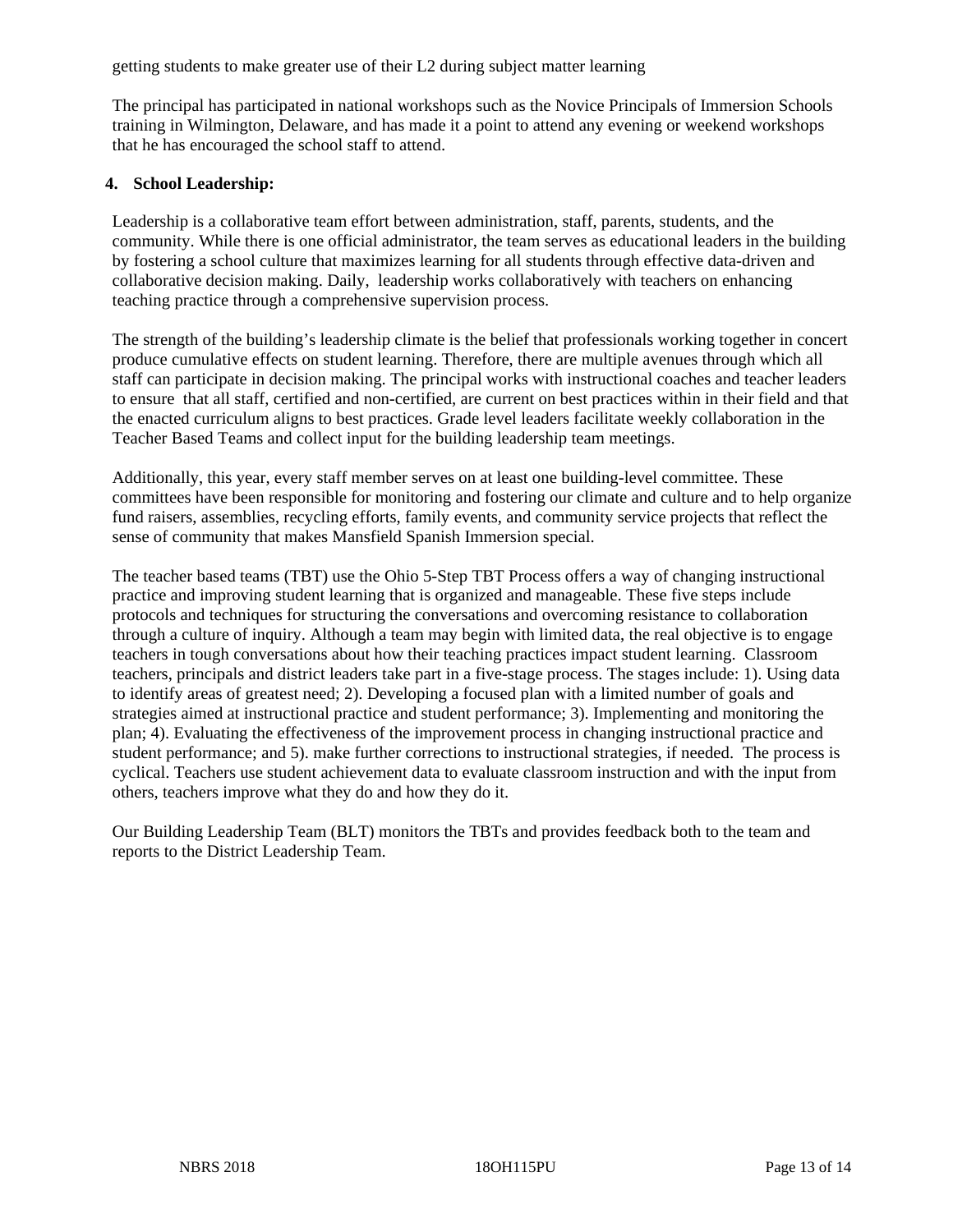getting students to make greater use of their L2 during subject matter learning

The principal has participated in national workshops such as the Novice Principals of Immersion Schools training in Wilmington, Delaware, and has made it a point to attend any evening or weekend workshops that he has encouraged the school staff to attend.

#### **4. School Leadership:**

Leadership is a collaborative team effort between administration, staff, parents, students, and the community. While there is one official administrator, the team serves as educational leaders in the building by fostering a school culture that maximizes learning for all students through effective data-driven and collaborative decision making. Daily, leadership works collaboratively with teachers on enhancing teaching practice through a comprehensive supervision process.

The strength of the building's leadership climate is the belief that professionals working together in concert produce cumulative effects on student learning. Therefore, there are multiple avenues through which all staff can participate in decision making. The principal works with instructional coaches and teacher leaders to ensure that all staff, certified and non-certified, are current on best practices within in their field and that the enacted curriculum aligns to best practices. Grade level leaders facilitate weekly collaboration in the Teacher Based Teams and collect input for the building leadership team meetings.

Additionally, this year, every staff member serves on at least one building-level committee. These committees have been responsible for monitoring and fostering our climate and culture and to help organize fund raisers, assemblies, recycling efforts, family events, and community service projects that reflect the sense of community that makes Mansfield Spanish Immersion special.

The teacher based teams (TBT) use the Ohio 5-Step TBT Process offers a way of changing instructional practice and improving student learning that is organized and manageable. These five steps include protocols and techniques for structuring the conversations and overcoming resistance to collaboration through a culture of inquiry. Although a team may begin with limited data, the real objective is to engage teachers in tough conversations about how their teaching practices impact student learning. Classroom teachers, principals and district leaders take part in a five-stage process. The stages include: 1). Using data to identify areas of greatest need; 2). Developing a focused plan with a limited number of goals and strategies aimed at instructional practice and student performance; 3). Implementing and monitoring the plan; 4). Evaluating the effectiveness of the improvement process in changing instructional practice and student performance; and 5). make further corrections to instructional strategies, if needed. The process is cyclical. Teachers use student achievement data to evaluate classroom instruction and with the input from others, teachers improve what they do and how they do it.

Our Building Leadership Team (BLT) monitors the TBTs and provides feedback both to the team and reports to the District Leadership Team.